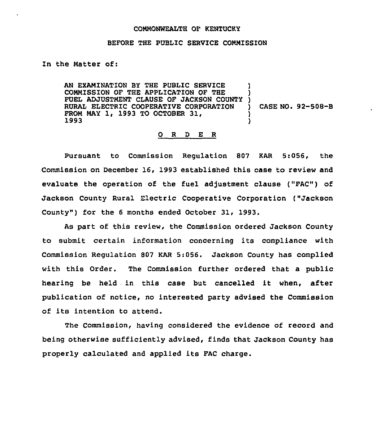## COMMONWEALTH OF KENTUCKY

## BEFORE THE PUBLIC SERVICE COMMISSION

In the Matter of:

AN EXAMINATION BY THE PUBLIC SERVICE COMMISSION OF THE APPLICATION OF THE COMMISSION OF THE APPLICATION OF THE )<br>FUEL ADJUSTMENT CLAUSE OF JACKSON COUNTY ) RURAL ELECTRIC COOPERATIVE CORPORATION FROM MAY 1, 1993 TO OCTOBER 31, 1993 ) ) ) CASE NO. 92-508-B ) )

## 0 <sup>R</sup> <sup>D</sup> E <sup>R</sup>

Pursuant to Commission Regulation 807 KAR 5:056, the Commission on December 16, 1993 established this case to review and evaluate the operation of the fuel adjustment clause ("FAC") of Jackson County Rural Electric Cooperative Corporation ("Jackson County") for the 6 months ended October 31, 1993.

As part of this review, the Commission ordered Jackson County to submit certain information concerning its compliance with Commission Regulation 807 KAR 5:056. Jackson County has complied with this Order. The Commission further ordered that a public hearing be held in this case but cancelled it when, after publication of notice, no interested party advised the Commission of its intention to attend.

The Commission, having considered the evidence of record and being otherwise sufficiently advised, finds that Jackson County has properly calculated and applied its FAC charge.